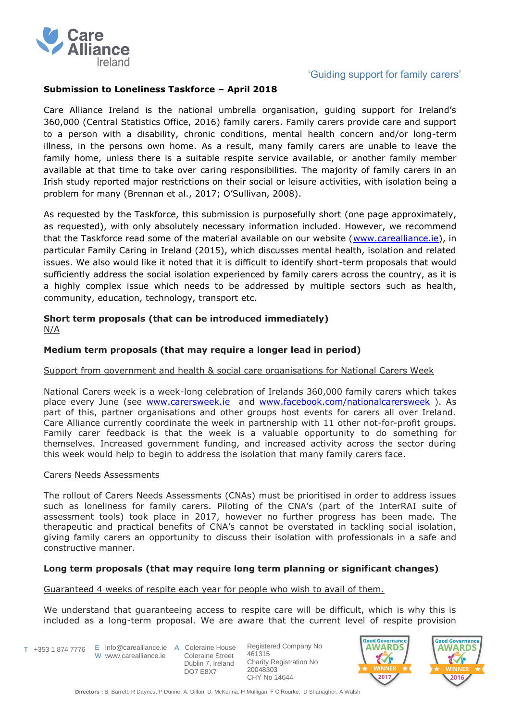

# 'Guiding support for family carers'

## **Submission to Loneliness Taskforce – April 2018**

Care Alliance Ireland is the national umbrella organisation, guiding support for Ireland's 360,000 (Central Statistics Office, 2016) family carers. Family carers provide care and support to a person with a disability, chronic conditions, mental health concern and/or long-term illness, in the persons own home. As a result, many family carers are unable to leave the family home, unless there is a suitable respite service available, or another family member available at that time to take over caring responsibilities. The majority of family carers in an Irish study reported major restrictions on their social or leisure activities, with isolation being a problem for many (Brennan et al., 2017; O'Sullivan, 2008).

As requested by the Taskforce, this submission is purposefully short (one page approximately, as requested), with only absolutely necessary information included. However, we recommend that the Taskforce read some of the material available on our website [\(www.carealliance.ie\)](http://www.carealliance.ie/), in particular Family Caring in Ireland (2015), which discusses mental health, isolation and related issues. We also would like it noted that it is difficult to identify short-term proposals that would sufficiently address the social isolation experienced by family carers across the country, as it is a highly complex issue which needs to be addressed by multiple sectors such as health, community, education, technology, transport etc.

#### **Short term proposals (that can be introduced immediately)** N/A

## **Medium term proposals (that may require a longer lead in period)**

### Support from government and health & social care organisations for National Carers Week

National Carers week is a week-long celebration of Irelands 360,000 family carers which takes place every June (see [www.carersweek.ie](http://www.carersweek.ie/) and [www.facebook.com/nationalcarersweek](http://www.facebook.com/nationalcarersweek) ). As part of this, partner organisations and other groups host events for carers all over Ireland. Care Alliance currently coordinate the week in partnership with 11 other not-for-profit groups. Family carer feedback is that the week is a valuable opportunity to do something for themselves. Increased government funding, and increased activity across the sector during this week would help to begin to address the isolation that many family carers face.

#### Carers Needs Assessments

The rollout of Carers Needs Assessments (CNAs) must be prioritised in order to address issues such as loneliness for family carers. Piloting of the CNA's (part of the InterRAI suite of assessment tools) took place in 2017, however no further progress has been made. The therapeutic and practical benefits of CNA's cannot be overstated in tackling social isolation, giving family carers an opportunity to discuss their isolation with professionals in a safe and constructive manner.

### **Long term proposals (that may require long term planning or significant changes)**

Guaranteed 4 weeks of respite each year for people who wish to avail of them.

We understand that guaranteeing access to respite care will be difficult, which is why this is included as a long-term proposal. We are aware that the current level of respite provision

T +353 1 874 7776 E info@carealliance.ie A Coleraine House W www.carealliance.ie

 Coleraine Street Dublin 7, Ireland DO7 E8X7

Registered Company No 461315 Charity Registration No 20048303 CHY No 14644